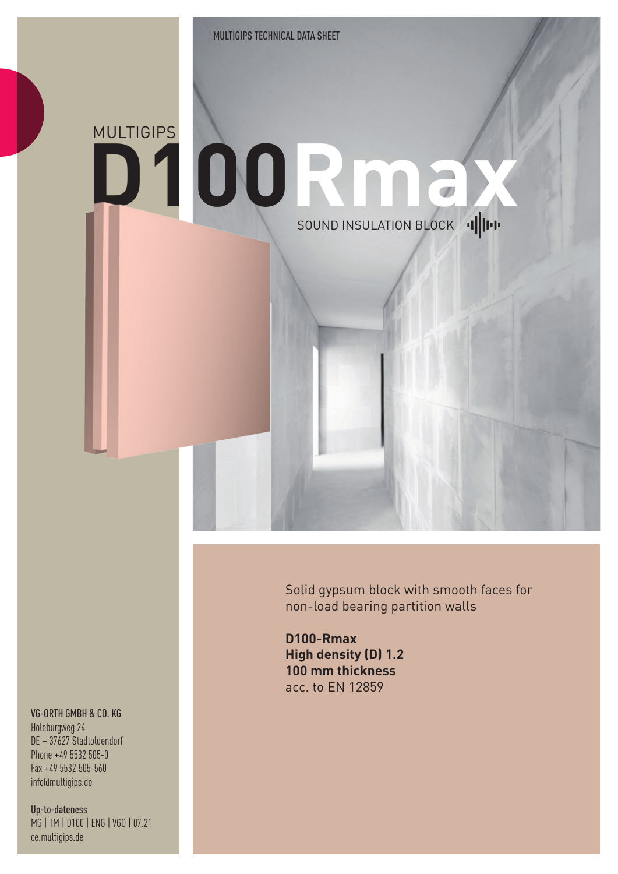## **D100Rmax** MULTIGIPS SOUND INSULATION BLOCK 1

Solid gypsum block with smooth faces for non-load bearing partition walls

**D100-Rmax High density (D) 1.2 100 mm thickness** acc. to EN 12859

## VG-ORTH GMBH & CO. KG

Holeburgweg 24 DE – 37627 Stadtoldendorf Phone +49 5532 505-0 Fax +49 5532 505-560 info@multigips.de

Up-to-dateness MG | TM | D100 | ENG | VGO | 07.21 ce.multigips.de